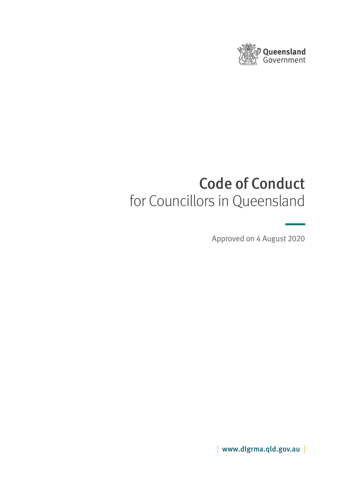

# Code of Conduct for Councillors in Queensland

Approved on 4 August 2020

| www.dlgrma.qld.gov.au |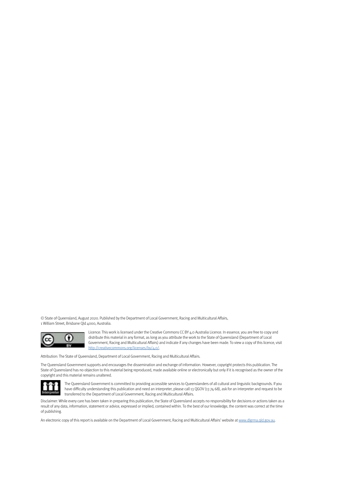© State of Queensland, August 2020. Published by the Department of Local Government, Racing and Multicultural Affairs, 1 William Street, Brisbane Qld 4000, Australia.



Licence: This work is licensed under the Creative Commons CC BY 4.0 Australia Licence. In essence, you are free to copy and distribute this material in any format, as long as you attribute the work to the State of Queensland (Department of Local Government, Racing and Multicultural Affairs) and indicate if any changes have been made. To view a copy of this licence, visit http://creativecommons.org/licenses/by/4.0/.

Attribution: The State of Queensland, Department of Local Government, Racing and Multicultural Affairs.

The Queensland Government supports and encourages the dissemination and exchange of information. However, copyright protects this publication. The State of Queensland has no objection to this material being reproduced, made available online or electronically but only if it is recognised as the owner of the copyright and this material remains unaltered.



The Queensland Government is committed to providing accessible services to Queenslanders of all cultural and linguistic backgrounds. If you have difficulty understanding this publication and need an interpreter, please call 13 QGOV (13 74 68), ask for an interpreter and request to be transferred to the Department of Local Government, Racing and Multicultural Affairs.

Disclaimer: While every care has been taken in preparing this publication, the State of Queensland accepts no responsibility for decisions or actions taken as a result of any data, information, statement or advice, expressed or implied, contained within. To the best of our knowledge, the content was correct at the time of publishing.

An electronic copy of this report is available on the Department of Local Government, Racing and Multicultural Affairs' website at www.dlgrma.qld.gov.au.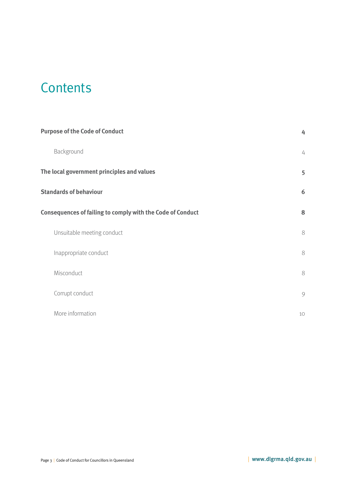## **Contents**

| <b>Purpose of the Code of Conduct</b>                             | 4  |
|-------------------------------------------------------------------|----|
| Background                                                        | 4  |
| The local government principles and values                        | 5  |
| <b>Standards of behaviour</b>                                     | 6  |
| <b>Consequences of failing to comply with the Code of Conduct</b> | 8  |
| Unsuitable meeting conduct                                        | 8  |
| Inappropriate conduct                                             | 8  |
| Misconduct                                                        | 8  |
| Corrupt conduct                                                   | 9  |
| More information                                                  | 10 |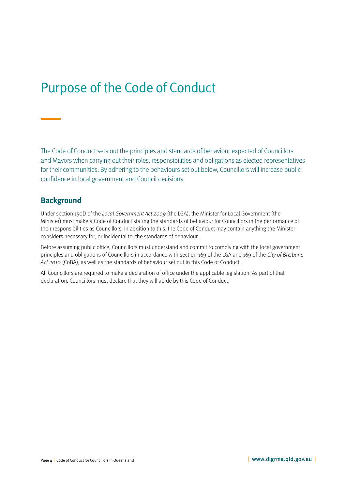## <span id="page-3-0"></span>Purpose of the Code of Conduct

The Code of Conduct sets out the principles and standards of behaviour expected of Councillors and Mayors when carrying out their roles, responsibilities and obligations as elected representatives for their communities. By adhering to the behaviours set out below, Councillors will increase public confidence in local government and Council decisions.

### **Background**

Under section 150D of the Local Government Act 2009 (the LGA), the Minister for Local Government (the Minister) must make a Code of Conduct stating the standards of behaviour for Councillors in the performance of their responsibilities as Councillors. In addition to this, the Code of Conduct may contain anything the Minister considers necessary for, or incidental to, the standards of behaviour.

Before assuming public office, Councillors must understand and commit to complying with the local government principles and obligations of Councillors in accordance with section 169 of the LGA and 169 of the City of Brisbane Act 2010 (CoBA), as well as the standards of behaviour set out in this Code of Conduct.

All Councillors are required to make a declaration of office under the applicable legislation. As part of that declaration, Councillors must declare that they will abide by this Code of Conduct.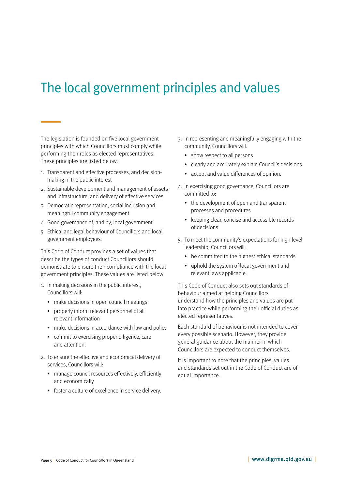## <span id="page-4-0"></span>The local government principles and values

The legislation is founded on five local government principles with which Councillors must comply while performing their roles as elected representatives. These principles are listed below:

- 1. Transparent and effective processes, and decisionmaking in the public interest
- 2. Sustainable development and management of assets and infrastructure, and delivery of effective services
- 3. Democratic representation, social inclusion and meaningful community engagement.
- 4. Good governance of, and by, local government
- 5. Ethical and legal behaviour of Councillors and local government employees.

This Code of Conduct provides a set of values that describe the types of conduct Councillors should demonstrate to ensure their compliance with the local government principles. These values are listed below:

- 1. In making decisions in the public interest, Councillors will:
	- make decisions in open council meetings
	- properly inform relevant personnel of all relevant information
	- make decisions in accordance with law and policy
	- commit to exercising proper diligence, care and attention.
- 2. To ensure the effective and economical delivery of services, Councillors will:
	- manage council resources effectively, efficiently and economically
	- foster a culture of excellence in service delivery.
- 3. In representing and meaningfully engaging with the community, Councillors will:
	- show respect to all persons
	- clearly and accurately explain Council's decisions
	- accept and value differences of opinion.
- 4. In exercising good governance, Councillors are committed to:
	- the development of open and transparent processes and procedures
	- keeping clear, concise and accessible records of decisions.
- 5. To meet the community's expectations for high level leadership, Councillors will:
	- be committed to the highest ethical standards
	- uphold the system of local government and relevant laws applicable.

This Code of Conduct also sets out standards of behaviour aimed at helping Councillors understand how the principles and values are put into practice while performing their official duties as elected representatives.

Each standard of behaviour is not intended to cover every possible scenario. However, they provide general guidance about the manner in which Councillors are expected to conduct themselves.

It is important to note that the principles, values and standards set out in the Code of Conduct are of equal importance.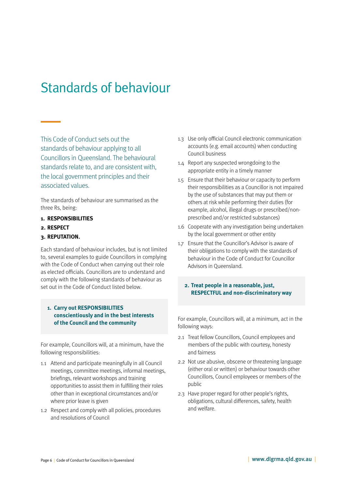## <span id="page-5-0"></span>Standards of behaviour

This Code of Conduct sets out the standards of behaviour applying to all Councillors in Queensland. The behavioural standards relate to, and are consistent with, the local government principles and their associated values.

The standards of behaviour are summarised as the three Rs, being:

#### **1. RESPONSIBILITIES**

**2. RESPECT**

#### **3. REPUTATION.**

Each standard of behaviour includes, but is not limited to, several examples to guide Councillors in complying with the Code of Conduct when carrying out their role as elected officials. Councillors are to understand and comply with the following standards of behaviour as set out in the Code of Conduct listed below.

#### **1. Carry out RESPONSIBILITIES conscientiously and in the best interests of the Council and the community**

For example, Councillors will, at a minimum, have the following responsibilities:

- 1.1 Attend and participate meaningfully in all Council meetings, committee meetings, informal meetings, briefings, relevant workshops and training opportunities to assist them in fulfilling their roles other than in exceptional circumstances and/or where prior leave is given
- 1.2 Respect and comply with all policies, procedures and resolutions of Council
- 1.3 Use only official Council electronic communication accounts (e.g. email accounts) when conducting Council business
- 1.4 Report any suspected wrongdoing to the appropriate entity in a timely manner
- 1.5 Ensure that their behaviour or capacity to perform their responsibilities as a Councillor is not impaired by the use of substances that may put them or others at risk while performing their duties (for example, alcohol, illegal drugs or prescribed/nonprescribed and/or restricted substances)
- 1.6 Cooperate with any investigation being undertaken by the local government or other entity
- 1.7 Ensure that the Councillor's Advisor is aware of their obligations to comply with the standards of behaviour in the Code of Conduct for Councillor Advisors in Queensland.

#### **2. Treat people in a reasonable, just, RESPECTFUL and non-discriminatory way**

For example, Councillors will, at a minimum, act in the following ways:

- 2.1 Treat fellow Councillors, Council employees and members of the public with courtesy, honesty and fairness
- 2.2 Not use abusive, obscene or threatening language (either oral or written) or behaviour towards other Councillors, Council employees or members of the public
- 2.3 Have proper regard for other people's rights, obligations, cultural differences, safety, health and welfare.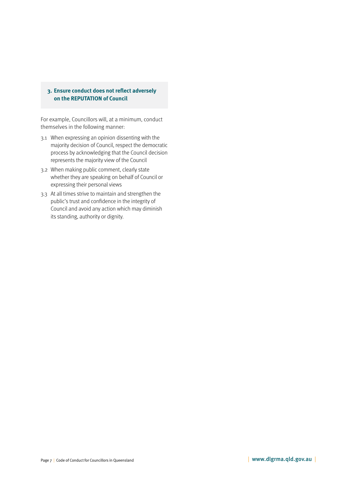#### **3. Ensure conduct does not reflect adversely on the REPUTATION of Council**

For example, Councillors will, at a minimum, conduct themselves in the following manner:

- 3.1 When expressing an opinion dissenting with the majority decision of Council, respect the democratic process by acknowledging that the Council decision represents the majority view of the Council
- 3.2 When making public comment, clearly state whether they are speaking on behalf of Council or expressing their personal views
- 3.3 At all times strive to maintain and strengthen the public's trust and confidence in the integrity of Council and avoid any action which may diminish its standing, authority or dignity.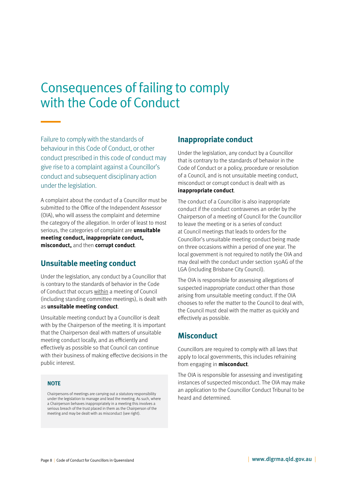## <span id="page-7-0"></span>Consequences of failing to comply with the Code of Conduct

Failure to comply with the standards of behaviour in this Code of Conduct, or other conduct prescribed in this code of conduct may give rise to a complaint against a Councillor's conduct and subsequent disciplinary action under the legislation.

A complaint about the conduct of a Councillor must be submitted to the Office of the Independent Assessor (OIA), who will assess the complaint and determine the category of the allegation. In order of least to most serious, the categories of complaint are **unsuitable meeting conduct, inappropriate conduct, misconduct,** and then **corrupt conduct**.

## **Unsuitable meeting conduct**

Under the legislation, any conduct by a Councillor that is contrary to the standards of behavior in the Code of Conduct that occurs within a meeting of Council (including standing committee meetings), is dealt with as **unsuitable meeting conduct**.

Unsuitable meeting conduct by a Councillor is dealt with by the Chairperson of the meeting. It is important that the Chairperson deal with matters of unsuitable meeting conduct locally, and as efficiently and effectively as possible so that Council can continue with their business of making effective decisions in the public interest.

#### **NOTE**

Chairpersons of meetings are carrying out a statutory responsibility under the legislation to manage and lead the meeting. As such, where a Chairperson behaves inappropriately in a meeting this involves a serious breach of the trust placed in them as the Chairperson of the meeting and may be dealt with as misconduct (see right).

### **Inappropriate conduct**

Under the legislation, any conduct by a Councillor that is contrary to the standards of behavior in the Code of Conduct or a policy, procedure or resolution of a Council, and is not unsuitable meeting conduct, misconduct or corrupt conduct is dealt with as **inappropriate conduct**.

The conduct of a Councillor is also inappropriate conduct if the conduct contravenes an order by the Chairperson of a meeting of Council for the Councillor to leave the meeting or is a series of conduct at Council meetings that leads to orders for the Councillor's unsuitable meeting conduct being made on three occasions within a period of one year. The local government is not required to notify the OIA and may deal with the conduct under section 150AG of the LGA (including Brisbane City Council).

The OIA is responsible for assessing allegations of suspected inappropriate conduct other than those arising from unsuitable meeting conduct. If the OIA chooses to refer the matter to the Council to deal with, the Council must deal with the matter as quickly and effectively as possible.

## **Misconduct**

Councillors are required to comply with all laws that apply to local governments, this includes refraining from engaging in **misconduct**.

The OIA is responsible for assessing and investigating instances of suspected misconduct. The OIA may make an application to the Councillor Conduct Tribunal to be heard and determined.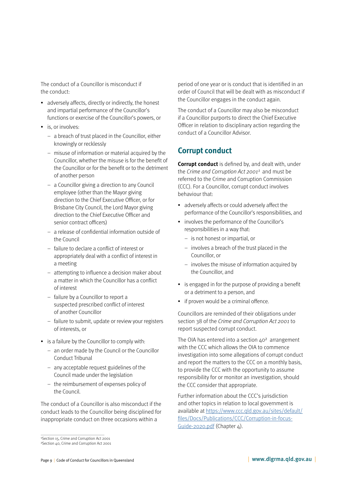<span id="page-8-0"></span>The conduct of a Councillor is misconduct if the conduct:

- adversely affects, directly or indirectly, the honest and impartial performance of the Councillor's functions or exercise of the Councillor's powers, or
- is, or involves:
	- a breach of trust placed in the Councillor, either knowingly or recklessly
	- misuse of information or material acquired by the Councillor, whether the misuse is for the benefit of the Councillor or for the benefit or to the detriment of another person
	- a Councillor giving a direction to any Council employee (other than the Mayor giving direction to the Chief Executive Officer, or for Brisbane City Council, the Lord Mayor giving direction to the Chief Executive Officer and senior contract officers)
	- a release of confidential information outside of the Council
	- failure to declare a conflict of interest or appropriately deal with a conflict of interest in a meeting
	- attempting to influence a decision maker about a matter in which the Councillor has a conflict of interest
	- failure by a Councillor to report a suspected prescribed conflict of interest of another Councillor
	- failure to submit, update or review your registers of interests, or
- is a failure by the Councillor to comply with:
	- an order made by the Council or the Councillor Conduct Tribunal
	- any acceptable request guidelines of the Council made under the legislation
	- the reimbursement of expenses policy of the Council.

The conduct of a Councillor is also misconduct if the conduct leads to the Councillor being disciplined for inappropriate conduct on three occasions within a

period of one year or is conduct that is identified in an order of Council that will be dealt with as misconduct if the Councillor engages in the conduct again.

The conduct of a Councillor may also be misconduct if a Councillor purports to direct the Chief Executive Officer in relation to disciplinary action regarding the conduct of a Councillor Advisor.

### **Corrupt conduct**

**Corrupt conduct** is defined by, and dealt with, under the Crime and Corruption Act  $2001<sup>1</sup>$  and must be referred to the Crime and Corruption Commission (CCC). For a Councillor, corrupt conduct involves behaviour that:

- adversely affects or could adversely affect the performance of the Councillor's responsibilities, and
- involves the performance of the Councillor's responsibilities in a way that:
	- is not honest or impartial, or
	- involves a breach of the trust placed in the Councillor, or
	- involves the misuse of information acquired by the Councillor, and
- is engaged in for the purpose of providing a benefit or a detriment to a person, and
- if proven would be a criminal offence.

Councillors are reminded of their obligations under section 38 of the Crime and Corruption Act 2001 to report suspected corrupt conduct.

The OIA has entered into a section 40<sup>2</sup> arrangement with the CCC which allows the OIA to commence investigation into some allegations of corrupt conduct and report the matters to the CCC on a monthly basis, to provide the CCC with the opportunity to assume responsibility for or monitor an investigation, should the CCC consider that appropriate.

Further information about the CCC's jurisdiction and other topics in relation to local government is available at [https://www.ccc.qld.gov.au/sites/default/](https://www.ccc.qld.gov.au/sites/default/files/Docs/Publications/CCC/Corruption-in-focus-Guide-2020.pdf) [files/Docs/Publications/CCC/Corruption-in-focus-](https://www.ccc.qld.gov.au/sites/default/files/Docs/Publications/CCC/Corruption-in-focus-Guide-2020.pdf)[Guide-2020.pdf](https://www.ccc.qld.gov.au/sites/default/files/Docs/Publications/CCC/Corruption-in-focus-Guide-2020.pdf) (Chapter 4).

<sup>1</sup>Section 15, Crime and Corruption Act 2001 ²Section 40, Crime and Corruption Act 2001